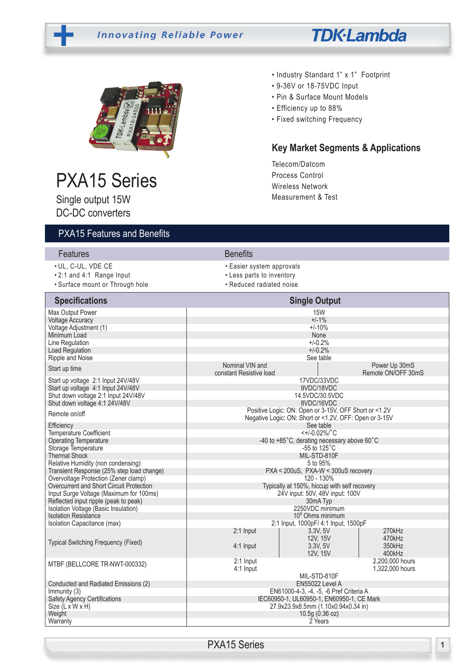# **Innovating Reliable Power**





# PXA15 Series

Single output 15W DC-DC converters

# PXA15 Features and Benefits

#### • Industry Standard 1" x 1" Footprint

- 9-36V or 18-75VDC Input
- Pin & Surface Mount Models
- Efficiency up to 88%
- Fixed switching Frequency

# **Key Market Segments & Applications**

Telecom/Datcom Process Control Wireless Network Measurement & Test

| <u>I MITH CALLES AND I GILLE</u>                                                 |                                             |                                                                                      |                                     |
|----------------------------------------------------------------------------------|---------------------------------------------|--------------------------------------------------------------------------------------|-------------------------------------|
| Features                                                                         | <b>Benefits</b>                             |                                                                                      |                                     |
| · UL, C-UL, VDE CE                                                               | • Easier system approvals                   |                                                                                      |                                     |
| .2:1 and 4:1 Range Input                                                         | • Less parts to inventory                   |                                                                                      |                                     |
| · Surface mount or Through hole                                                  | • Reduced radiated noise                    |                                                                                      |                                     |
| <b>Specifications</b>                                                            |                                             | <b>Single Output</b>                                                                 |                                     |
| Max Output Power                                                                 |                                             | <b>15W</b>                                                                           |                                     |
| <b>Voltage Accuracy</b>                                                          | $+/-1%$                                     |                                                                                      |                                     |
| Voltage Adjustment (1)                                                           |                                             | $+/-10%$                                                                             |                                     |
| Minimum Load<br>Line Regulation                                                  |                                             | None<br>$+/-0.2%$                                                                    |                                     |
| Load Regulation                                                                  |                                             | $+/-0.2%$                                                                            |                                     |
| Ripple and Noise                                                                 |                                             | See table                                                                            |                                     |
| Start up time                                                                    | Nominal VIN and<br>constant Resistive load  |                                                                                      | Power Up 30mS<br>Remote ON/OFF 30mS |
| Start up voltage 2:1 Input 24V/48V                                               |                                             | 17VDC/33VDC                                                                          |                                     |
| Start up voltage 4:1 Input 24V/48V                                               |                                             | 9VDC/18VDC                                                                           |                                     |
| Shut down voltage 2:1 Input 24V/48V<br>Shut down voltage 4:1 24V/48V             |                                             | 14.5VDC/30.5VDC<br>8VDC/16VDC                                                        |                                     |
|                                                                                  |                                             | Positive Logic: ON: Open or 3-15V, OFF Short or <1.2V                                |                                     |
| Remote on/off                                                                    |                                             | Negative Logic: ON: Short or <1.2V, OFF: Open or 3-15V                               |                                     |
| Efficiency                                                                       |                                             | See table                                                                            |                                     |
| Temperature Coefficient                                                          |                                             | $<+/-0.02\%/^{\circ}C$                                                               |                                     |
| <b>Operating Temperature</b><br>Storage Temperature                              | -40 to +85°C, derating necessary above 60°C |                                                                                      |                                     |
| <b>Thermal Shock</b>                                                             |                                             | -55 to $125^{\circ}$ C<br>MIL-STD-810F                                               |                                     |
| Relative Humidity (non condensing)                                               |                                             | 5 to 95%                                                                             |                                     |
| Transient Response (25% step load change)                                        |                                             | PXA < 200uS, PXA-W < 300uS recovery                                                  |                                     |
| Overvoltage Protection (Zener clamp)                                             |                                             | 120 - 130%                                                                           |                                     |
| Overcurrent and Short Circuit Protection                                         |                                             | Typically at 150%, hiccup with self recovery                                         |                                     |
| Input Surge Voltage (Maximum for 100ms)<br>Reflected input ripple (peak to peak) |                                             | 24V input: 50V, 48V input: 100V<br>30mA Typ                                          |                                     |
| Isolation Voltage (Basic Insulation)                                             |                                             | 2250VDC minimum                                                                      |                                     |
| <b>Isolation Resistance</b>                                                      |                                             | $109$ Ohms minimum                                                                   |                                     |
| Isolation Capacitance (max)                                                      |                                             | 2:1 Input, 1000pF/ 4:1 Input, 1500pF                                                 |                                     |
|                                                                                  | 2:1 Input                                   | 3.3V, 5V                                                                             | 270kHz                              |
| Typical Switching Frequency (Fixed)                                              |                                             | 12V. 15V                                                                             | 470kHz                              |
|                                                                                  | $4:1$ Input                                 | 3.3V, 5V<br>12V, 15V                                                                 | 350kHz<br>400kHz                    |
|                                                                                  | 2:1 Input                                   |                                                                                      | 2.200.000 hours                     |
| MTBF (BELLCORE TR-NWT-000332)                                                    | $4:1$ Input                                 |                                                                                      | 1,322,000 hours                     |
|                                                                                  |                                             | MIL-STD-810F                                                                         |                                     |
| Conducted and Radiated Emissions (2)                                             |                                             | EN55022 Level A                                                                      |                                     |
| Immunity (3)<br><b>Safety Agency Certifications</b>                              |                                             | EN61000-4-3, -4, -5, -6 Pref Criteria A<br>IEC60950-1, UL60950-1, EN60950-1, CE Mark |                                     |
| Size (L x W x H)                                                                 |                                             | 27.9x23.9x8.5mm (1.10x0.94x0.34 in)                                                  |                                     |
| Weight                                                                           |                                             | 10.5g $(0.36 \text{ oz})$                                                            |                                     |
| Warranty                                                                         |                                             | 2 Years                                                                              |                                     |

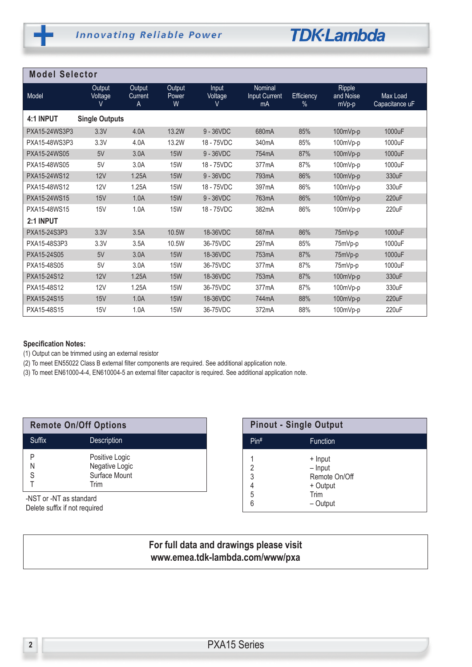

| <b>Model Selector</b> |                       |                        |                      |                       |                                |                 |                              |                            |  |
|-----------------------|-----------------------|------------------------|----------------------|-----------------------|--------------------------------|-----------------|------------------------------|----------------------------|--|
| Model                 | Output<br>Voltage     | Output<br>Current<br>Α | Output<br>Power<br>W | Input<br>Voltage<br>V | Nominal<br>Input Current<br>mA | Efficiency<br>% | Ripple<br>and Noise<br>mVp-p | Max Load<br>Capacitance uF |  |
| 4:1 INPUT             | <b>Single Outputs</b> |                        |                      |                       |                                |                 |                              |                            |  |
| PXA15-24WS3P3         | 3.3V                  | 4.0A                   | 13.2W                | 9 - 36VDC             | 680mA                          | 85%             | 100mVp-p                     | 1000uF                     |  |
| PXA15-48WS3P3         | 3.3V                  | 4.0A                   | 13.2W                | 18 - 75VDC            | 340mA                          | 85%             | 100mVp-p                     | 1000uF                     |  |
| PXA15-24WS05          | 5V                    | 3.0A                   | <b>15W</b>           | $9 - 36VDC$           | 754mA                          | 87%             | 100mVp-p                     | 1000uF                     |  |
| PXA15-48WS05          | 5V                    | 3.0A                   | <b>15W</b>           | 18 - 75VDC            | 377mA                          | 87%             | 100mVp-p                     | 1000uF                     |  |
| PXA15-24WS12          | 12V                   | 1.25A                  | <b>15W</b>           | 9 - 36VDC             | 793mA                          | 86%             | 100mVp-p                     | 330uF                      |  |
| PXA15-48WS12          | <b>12V</b>            | 1.25A                  | <b>15W</b>           | 18 - 75VDC            | 397mA                          | 86%             | 100mVp-p                     | 330uF                      |  |
| PXA15-24WS15          | 15V                   | 1.0A                   | <b>15W</b>           | 9 - 36VDC             | 763mA                          | 86%             | 100mVp-p                     | 220uF                      |  |
| PXA15-48WS15          | 15V                   | 1.0A                   | <b>15W</b>           | 18 - 75VDC            | 382mA                          | 86%             | 100mVp-p                     | 220uF                      |  |
| 2:1 INPUT             |                       |                        |                      |                       |                                |                 |                              |                            |  |
| PXA15-24S3P3          | 3.3V                  | 3.5A                   | 10.5W                | 18-36VDC              | 587mA                          | 86%             | 75mVp-p                      | 1000uF                     |  |
| PXA15-48S3P3          | 3.3V                  | 3.5A                   | 10.5W                | 36-75VDC              | 297 <sub>m</sub> A             | 85%             | 75mVp-p                      | 1000uF                     |  |
| PXA15-24S05           | 5V                    | 3.0A                   | <b>15W</b>           | 18-36VDC              | 753mA                          | 87%             | 75mVp-p                      | 1000uF                     |  |
| PXA15-48S05           | 5V                    | 3.0A                   | <b>15W</b>           | 36-75VDC              | 377 <sub>m</sub> A             | 87%             | 75mVp-p                      | 1000uF                     |  |
| PXA15-24S12           | 12V                   | 1.25A                  | <b>15W</b>           | 18-36VDC              | 753mA                          | 87%             | 100mVp-p                     | 330uF                      |  |
| PXA15-48S12           | <b>12V</b>            | 1.25A                  | <b>15W</b>           | 36-75VDC              | 377mA                          | 87%             | 100mVp-p                     | 330uF                      |  |
| PXA15-24S15           | 15V                   | 1.0A                   | <b>15W</b>           | 18-36VDC              | 744mA                          | 88%             | 100mVp-p                     | 220uF                      |  |
| PXA15-48S15           | 15V                   | 1.0A                   | <b>15W</b>           | 36-75VDC              | 372mA                          | 88%             | $100mVp-p$                   | 220uF                      |  |

#### **Specification Notes:**

(1) Output can be trimmed using an external resistor

(2) To meet EN55022 Class B external filter components are required. See additional application note.

(3) To meet EN61000-4-4, EN610004-5 an external filter capacitor is required. See additional application note.

| <b>Remote On/Off Options</b> |                                                           |  |
|------------------------------|-----------------------------------------------------------|--|
| Suffix                       | <b>Description</b>                                        |  |
| N<br>S                       | Positive Logic<br>Negative Logic<br>Surface Mount<br>Trim |  |
|                              |                                                           |  |

-NST or -NT as standard Delete suffix if not required

| <b>Pinout - Single Output</b> |                                                                       |  |
|-------------------------------|-----------------------------------------------------------------------|--|
| Pin <sup>#</sup>              | <b>Function</b>                                                       |  |
| 2<br>3<br>4<br>5<br>6         | + Input<br>$-$ Input<br>Remote On/Off<br>+ Output<br>Trim<br>- Output |  |

# **For full data and drawings please visit www.emea.tdk-lambda.com/www/pxa**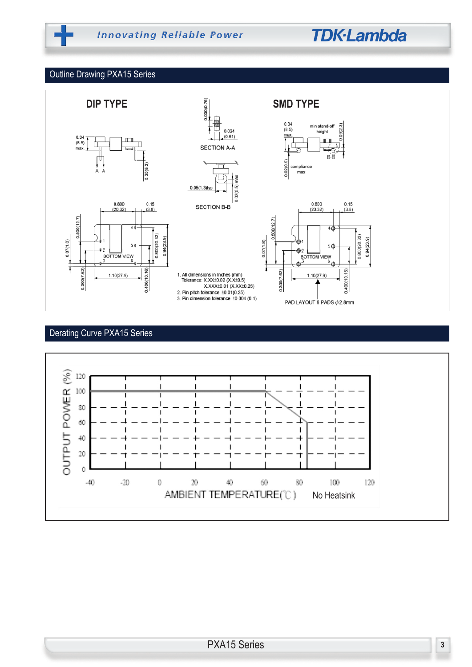# **TDK-Lambda**

### Outline Drawing PXA15 Series



# Derating Curve PXA15 Series